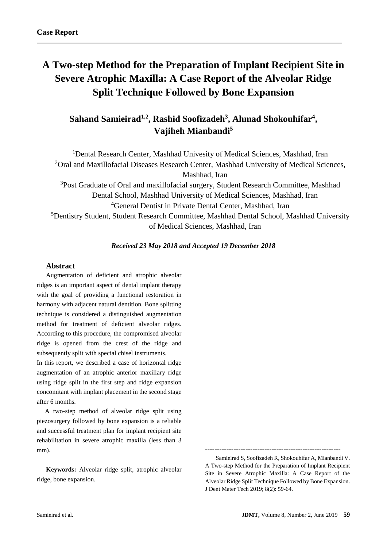# **A Two-step Method for the Preparation of Implant Recipient Site in Severe Atrophic Maxilla: A Case Report of the Alveolar Ridge Split Technique Followed by Bone Expansion**

# **Sahand Samieirad1,2, Rashid Soofizadeh<sup>3</sup> , Ahmad Shokouhifar<sup>4</sup> , Vajiheh Mianbandi<sup>5</sup>**

<sup>1</sup>Dental Research Center, Mashhad Univesity of Medical Sciences, Mashhad, Iran <sup>2</sup>Oral and Maxillofacial Diseases Research Center, Mashhad University of Medical Sciences, Mashhad, Iran

<sup>3</sup>Post Graduate of Oral and maxillofacial surgery, Student Research Committee, Mashhad Dental School, Mashhad University of Medical Sciences, Mashhad, Iran <sup>4</sup>General Dentist in Private Dental Center, Mashhad, Iran <sup>5</sup>Dentistry Student, Student Research Committee, Mashhad Dental School, Mashhad University of Medical Sciences, Mashhad, Iran

#### *Received 23 May 2018 and Accepted 19 December 2018*

#### **Abstract**

Augmentation of deficient and atrophic alveolar ridges is an important aspect of dental implant therapy with the goal of providing a functional restoration in harmony with adjacent natural dentition. Bone splitting technique is considered a distinguished augmentation method for treatment of deficient alveolar ridges. According to this procedure, the compromised alveolar ridge is opened from the crest of the ridge and subsequently split with special chisel instruments.

In this report, we described a case of horizontal ridge augmentation of an atrophic anterior maxillary ridge using ridge split in the first step and ridge expansion concomitant with implant placement in the second stage after 6 months.

 A two-step method of alveolar ridge split using piezosurgery followed by bone expansion is a reliable and successful treatment plan for implant recipient site rehabilitation in severe atrophic maxilla (less than 3 mm).

**Keywords:** Alveolar ridge split, atrophic alveolar ridge, bone expansion.

---------------------------------------------------------

Samieirad S, Soofizadeh R, Shokouhifar A, Mianbandi V. A Two-step Method for the Preparation of Implant Recipient Site in Severe Atrophic Maxilla: A Case Report of the Alveolar Ridge Split Technique Followed by Bone Expansion. J Dent Mater Tech 2019; 8(2): 59-64.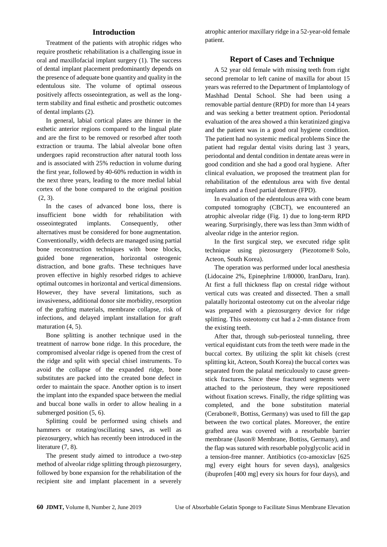### **Introduction**

Treatment of the patients with atrophic ridges who require prosthetic rehabilitation is a challenging issue in oral and maxillofacial implant surgery (1). The success of dental implant placement predominantly depends on the presence of adequate bone quantity and quality in the edentulous site. The volume of optimal osseous positively affects osseointegration, as well as the longterm stability and final esthetic and prosthetic outcomes of dental implants (2).

In general, labial cortical plates are thinner in the esthetic anterior regions compared to the lingual plate and are the first to be removed or resorbed after tooth extraction or trauma. The labial alveolar bone often undergoes rapid reconstruction after natural tooth loss and is associated with 25% reduction in volume during the first year, followed by 40-60% reduction in width in the next three years, leading to the more medial labial cortex of the bone compared to the original position (2, 3).

In the cases of advanced bone loss, there is insufficient bone width for rehabilitation with osseointegrated implants. Consequently, other alternatives must be considered for bone augmentation. Conventionally, width defects are managed using partial bone reconstruction techniques with bone blocks, guided bone regeneration, horizontal osteogenic distraction, and bone grafts. These techniques have proven effective in highly resorbed ridges to achieve optimal outcomes in horizontal and vertical dimensions. However, they have several limitations, such as invasiveness, additional donor site morbidity, resorption of the grafting materials, membrane collapse, risk of infections, and delayed implant installation for graft maturation  $(4, 5)$ .

Bone splitting is another technique used in the treatment of narrow bone ridge. In this procedure, the compromised alveolar ridge is opened from the crest of the ridge and split with special chisel instruments. To avoid the collapse of the expanded ridge, bone substitutes are packed into the created bone defect in order to maintain the space. Another option is to insert the implant into the expanded space between the medial and buccal bone walls in order to allow healing in a submerged position (5, 6).

Splitting could be performed using chisels and hammers or rotating/oscillating saws, as well as piezosurgery, which has recently been introduced in the literature  $(7, 8)$ .

The present study aimed to introduce a two-step method of alveolar ridge splitting through piezosurgery, followed by bone expansion for the rehabilitation of the recipient site and implant placement in a severely

atrophic anterior maxillary ridge in a 52-year-old female patient.

#### **Report of Cases and Technique**

A 52 year old female with missing teeth from right second premolar to left canine of maxilla for about 15 years was referred to the Department of Implantology of Mashhad Dental School. She had been using a removable partial denture (RPD) for more than 14 years and was seeking a better treatment option. Periodontal evaluation of the area showed a thin keratinized gingiva and the patient was in a good oral hygiene condition. The patient had no systemic medical problems Since the patient had regular dental visits during last 3 years, periodontal and dental condition in dentate areas were in good condition and she had a good oral hygiene. After clinical evaluation, we proposed the treatment plan for rehabilitation of the edentulous area with five dental implants and a fixed partial denture (FPD).

In evaluation of the edentulous area with cone beam computed tomography (CBCT), we encountered an atrophic alveolar ridge (Fig. 1) due to long-term RPD wearing. Surprisingly, there was less than 3mm width of alveolar ridge in the anterior region.

In the first surgical step, we executed ridge split technique using piezosurgery (Piezotome® Solo, Acteon, South Korea).

The operation was performed under local anesthesia (Lidocaine 2%, Epinephrine 1/80000, IranDaru, Iran). At first a full thickness flap on crestal ridge without vertical cuts was created and dissected. Then a small palatally horizontal osteotomy cut on the alveolar ridge was prepared with a piezosurgery device for ridge splitting. This osteotomy cut had a 2-mm distance from the existing teeth.

After that, through sub-periosteal tunneling, three vertical equidistant cuts from the teeth were made in the buccal cortex. By utilizing the split kit chisels (crest splitting kit, Acteon, South Korea) the buccal cortex was separated from the palatal meticulously to cause greenstick fractures**.** Since these fractured segments were attached to the periosteum, they were repositioned without fixation screws. Finally, the ridge splitting was completed, and the bone substitution material (Cerabone®, Bottiss, Germany) was used to fill the gap between the two cortical plates. Moreover, the entire grafted area was covered with a resorbable barrier membrane (Jason® Membrane, Bottiss, Germany), and the flap was sutured with resorbable polyglycolic acid in a tension-free manner. Antibiotics (co-amoxiclav [625 mg] every eight hours for seven days), analgesics (ibuprofen [400 mg] every six hours for four days), and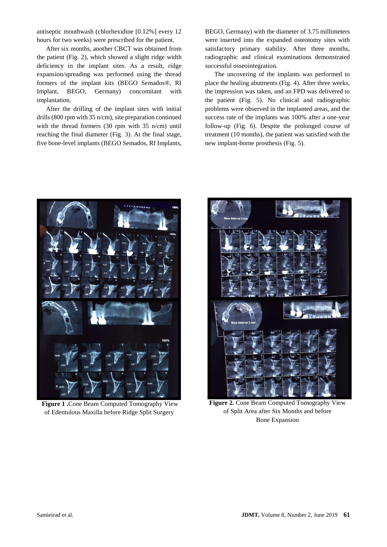antiseptic mouthwash (chlorhexidine [0.12%] every 12 hours for two weeks) were prescribed for the patient.

After six months, another CBCT was obtained from the patient (Fig. 2), which showed a slight ridge width deficiency in the implant sites. As a result, ridge expansion/spreading was performed using the thread formers of the implant kits (BEGO Semados®, RI Implant, BEGO, Germany) concomitant with implantation.

After the drilling of the implant sites with initial drills (800 rpm with 35 n/cm), site preparation continued with the thread formers (30 rpm with 35 n/cm) until reaching the final diameter (Fig. 3). At the final stage, five bone-level implants (BEGO Semados, RI Implants,

BEGO, Germany) with the diameter of 3.75 millimeters were inserted into the expanded osteotomy sites with satisfactory primary stability. After three months, radiographic and clinical examinations demonstrated successful osseointegration.

The uncovering of the implants was performed to place the healing abutments (Fig. 4). After three weeks, the impression was taken, and an FPD was delivered to the patient (Fig. 5). No clinical and radiographic problems were observed in the implanted areas, and the success rate of the implants was 100% after a one-year follow-up (Fig. 6). Despite the prolonged course of treatment (10 months), the patient was satisfied with the new implant-borne prosthesis (Fig. 5).



**Figure 1 .**Cone Beam Computed Tomography View of Edentulous Maxilla before Ridge Split Surgery



**Figure 2.** Cone Beam Computed Tomography View of Split Area after Six Months and before Bone Expansion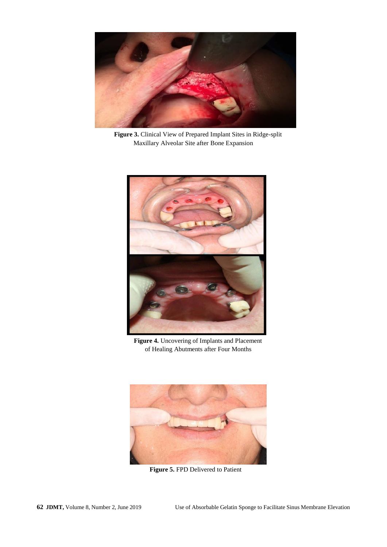

**Figure 3.** Clinical View of Prepared Implant Sites in Ridge-split Maxillary Alveolar Site after Bone Expansion



**Figure 4.** Uncovering of Implants and Placement of Healing Abutments after Four Months



**Figure 5.** FPD Delivered to Patient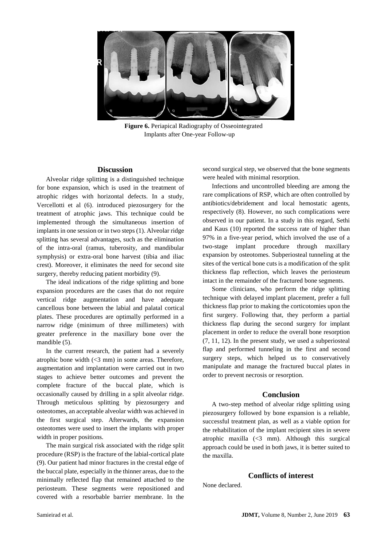

 **Figure 6.** Periapical Radiography of Osseointegrated Implants after One-year Follow-up

#### **Discussion**

Alveolar ridge splitting is a distinguished technique for bone expansion, which is used in the treatment of atrophic ridges with horizontal defects. In a study, Vercellotti et al (6). introduced piezosurgery for the treatment of atrophic jaws. This technique could be implemented through the simultaneous insertion of implants in one session or in two steps (1). Alveolar ridge splitting has several advantages, such as the elimination of the intra-oral (ramus, tuberosity, and mandibular symphysis) or extra-oral bone harvest (tibia and iliac crest). Moreover, it eliminates the need for second site surgery, thereby reducing patient morbidity (9).

The ideal indications of the ridge splitting and bone expansion procedures are the cases that do not require vertical ridge augmentation and have adequate cancellous bone between the labial and palatal cortical plates. These procedures are optimally performed in a narrow ridge (minimum of three millimeters) with greater preference in the maxillary bone over the mandible (5).

In the current research, the patient had a severely atrophic bone width  $\left( \langle 3 \rangle$  mm) in some areas. Therefore, augmentation and implantation were carried out in two stages to achieve better outcomes and prevent the complete fracture of the buccal plate, which is occasionally caused by drilling in a split alveolar ridge. Through meticulous splitting by piezosurgery and osteotomes, an acceptable alveolar width was achieved in the first surgical step. Afterwards, the expansion osteotomes were used to insert the implants with proper width in proper positions.

The main surgical risk associated with the ridge split procedure (RSP) is the fracture of the labial-cortical plate (9). Our patient had minor fractures in the crestal edge of the buccal plate, especially in the thinner areas, due to the minimally reflected flap that remained attached to the periosteum. These segments were repositioned and covered with a resorbable barrier membrane. In the

second surgical step, we observed that the bone segments were healed with minimal resorption.

Infections and uncontrolled bleeding are among the rare complications of RSP, which are often controlled by antibiotics/debridement and local hemostatic agents, respectively (8). However, no such complications were observed in our patient. In a study in this regard, Sethi and Kaus (10) reported the success rate of higher than 97% in a five-year period, which involved the use of a two-stage implant procedure through maxillary expansion by osteotomes. Subperiosteal tunneling at the sites of the vertical bone cuts is a modification of the split thickness flap reflection, which leaves the periosteum intact in the remainder of the fractured bone segments.

Some clinicians, who perform the ridge splitting technique with delayed implant placement, prefer a full thickness flap prior to making the corticotomies upon the first surgery. Following that, they perform a partial thickness flap during the second surgery for implant placement in order to reduce the overall bone resorption (7, 11, 12). In the present study, we used a subperiosteal flap and performed tunneling in the first and second surgery steps, which helped us to conservatively manipulate and manage the fractured buccal plates in order to prevent necrosis or resorption.

# **Conclusion**

A two-step method of alveolar ridge splitting using piezosurgery followed by bone expansion is a reliable, successful treatment plan, as well as a viable option for the rehabilitation of the implant recipient sites in severe atrophic maxilla (<3 mm). Although this surgical approach could be used in both jaws, it is better suited to the maxilla.

# **Conflicts of interest**

None declared.